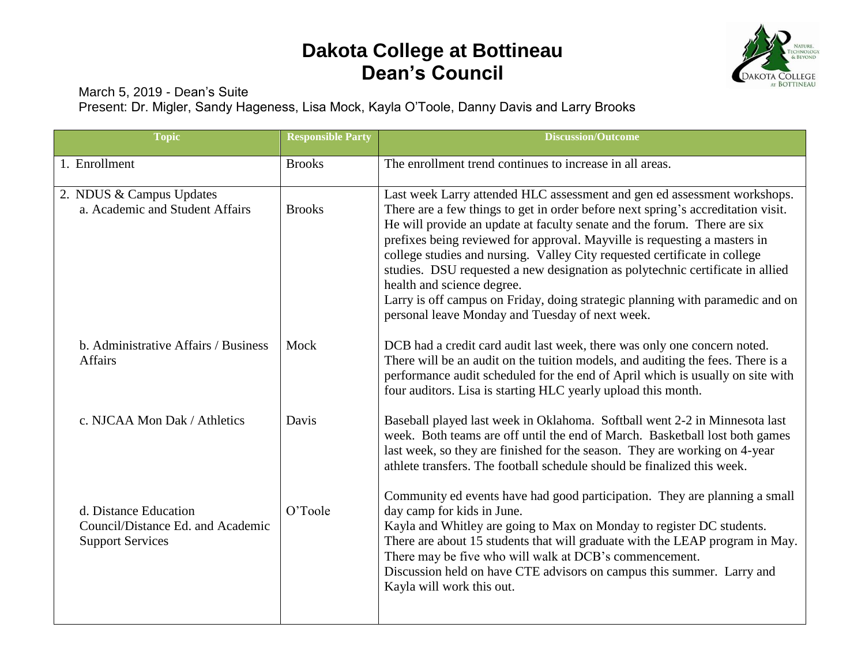## **Dakota College at Bottineau Dean's Council**



March 5, 2019 - Dean's Suite

Present: Dr. Migler, Sandy Hageness, Lisa Mock, Kayla O'Toole, Danny Davis and Larry Brooks

| <b>Topic</b>                                                                          | <b>Responsible Party</b> | <b>Discussion/Outcome</b>                                                                                                                                                                                                                                                                                                                                                                                                                                                                                                                                                                                                                             |
|---------------------------------------------------------------------------------------|--------------------------|-------------------------------------------------------------------------------------------------------------------------------------------------------------------------------------------------------------------------------------------------------------------------------------------------------------------------------------------------------------------------------------------------------------------------------------------------------------------------------------------------------------------------------------------------------------------------------------------------------------------------------------------------------|
| 1. Enrollment                                                                         | <b>Brooks</b>            | The enrollment trend continues to increase in all areas.                                                                                                                                                                                                                                                                                                                                                                                                                                                                                                                                                                                              |
| 2. NDUS & Campus Updates<br>a. Academic and Student Affairs                           | <b>Brooks</b>            | Last week Larry attended HLC assessment and gen ed assessment workshops.<br>There are a few things to get in order before next spring's accreditation visit.<br>He will provide an update at faculty senate and the forum. There are six<br>prefixes being reviewed for approval. Mayville is requesting a masters in<br>college studies and nursing. Valley City requested certificate in college<br>studies. DSU requested a new designation as polytechnic certificate in allied<br>health and science degree.<br>Larry is off campus on Friday, doing strategic planning with paramedic and on<br>personal leave Monday and Tuesday of next week. |
| b. Administrative Affairs / Business<br><b>Affairs</b>                                | Mock                     | DCB had a credit card audit last week, there was only one concern noted.<br>There will be an audit on the tuition models, and auditing the fees. There is a<br>performance audit scheduled for the end of April which is usually on site with<br>four auditors. Lisa is starting HLC yearly upload this month.                                                                                                                                                                                                                                                                                                                                        |
| c. NJCAA Mon Dak / Athletics                                                          | Davis                    | Baseball played last week in Oklahoma. Softball went 2-2 in Minnesota last<br>week. Both teams are off until the end of March. Basketball lost both games<br>last week, so they are finished for the season. They are working on 4-year<br>athlete transfers. The football schedule should be finalized this week.                                                                                                                                                                                                                                                                                                                                    |
| d. Distance Education<br>Council/Distance Ed. and Academic<br><b>Support Services</b> | O'Toole                  | Community ed events have had good participation. They are planning a small<br>day camp for kids in June.<br>Kayla and Whitley are going to Max on Monday to register DC students.<br>There are about 15 students that will graduate with the LEAP program in May.<br>There may be five who will walk at DCB's commencement.<br>Discussion held on have CTE advisors on campus this summer. Larry and<br>Kayla will work this out.                                                                                                                                                                                                                     |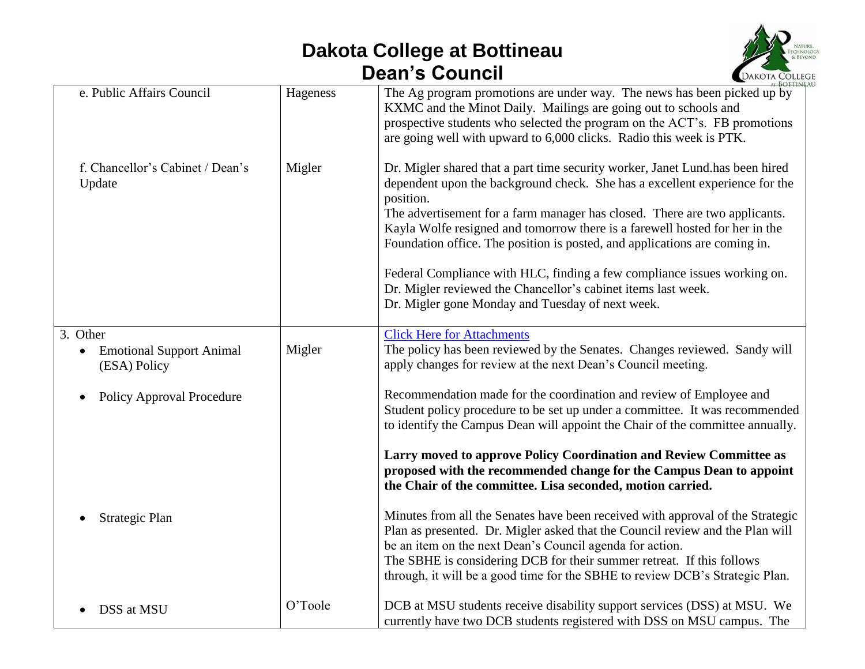## **Dakota College at Bottineau Dean's Council**



| e. Public Affairs Council                                   | Hageness | The Ag program promotions are under way. The news has been picked up by<br>KXMC and the Minot Daily. Mailings are going out to schools and<br>prospective students who selected the program on the ACT's. FB promotions<br>are going well with upward to 6,000 clicks. Radio this week is PTK.                                                                                                                                                                                                                                                                                                                        |
|-------------------------------------------------------------|----------|-----------------------------------------------------------------------------------------------------------------------------------------------------------------------------------------------------------------------------------------------------------------------------------------------------------------------------------------------------------------------------------------------------------------------------------------------------------------------------------------------------------------------------------------------------------------------------------------------------------------------|
| f. Chancellor's Cabinet / Dean's<br>Update                  | Migler   | Dr. Migler shared that a part time security worker, Janet Lund.has been hired<br>dependent upon the background check. She has a excellent experience for the<br>position.<br>The advertisement for a farm manager has closed. There are two applicants.<br>Kayla Wolfe resigned and tomorrow there is a farewell hosted for her in the<br>Foundation office. The position is posted, and applications are coming in.<br>Federal Compliance with HLC, finding a few compliance issues working on.<br>Dr. Migler reviewed the Chancellor's cabinet items last week.<br>Dr. Migler gone Monday and Tuesday of next week. |
| 3. Other<br><b>Emotional Support Animal</b><br>(ESA) Policy | Migler   | <b>Click Here for Attachments</b><br>The policy has been reviewed by the Senates. Changes reviewed. Sandy will<br>apply changes for review at the next Dean's Council meeting.                                                                                                                                                                                                                                                                                                                                                                                                                                        |
| <b>Policy Approval Procedure</b><br>$\bullet$               |          | Recommendation made for the coordination and review of Employee and<br>Student policy procedure to be set up under a committee. It was recommended<br>to identify the Campus Dean will appoint the Chair of the committee annually.                                                                                                                                                                                                                                                                                                                                                                                   |
|                                                             |          | Larry moved to approve Policy Coordination and Review Committee as<br>proposed with the recommended change for the Campus Dean to appoint<br>the Chair of the committee. Lisa seconded, motion carried.                                                                                                                                                                                                                                                                                                                                                                                                               |
| Strategic Plan                                              |          | Minutes from all the Senates have been received with approval of the Strategic<br>Plan as presented. Dr. Migler asked that the Council review and the Plan will<br>be an item on the next Dean's Council agenda for action.<br>The SBHE is considering DCB for their summer retreat. If this follows<br>through, it will be a good time for the SBHE to review DCB's Strategic Plan.                                                                                                                                                                                                                                  |
| DSS at MSU                                                  | O'Toole  | DCB at MSU students receive disability support services (DSS) at MSU. We<br>currently have two DCB students registered with DSS on MSU campus. The                                                                                                                                                                                                                                                                                                                                                                                                                                                                    |